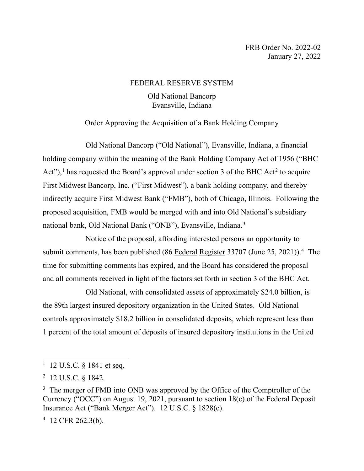## FEDERAL RESERVE SYSTEM

## Old National Bancorp Evansville, Indiana

# Order Approving the Acquisition of a Bank Holding Company

Old National Bancorp ("Old National"), Evansville, Indiana, a financial holding company within the meaning of the Bank Holding Company Act of 1956 ("BHC Act"),<sup>[1](#page-0-0)</sup> has requested the Board's approval under section 3 of the BHC Act<sup>[2](#page-0-1)</sup> to acquire First Midwest Bancorp, Inc. ("First Midwest"), a bank holding company, and thereby indirectly acquire First Midwest Bank ("FMB"), both of Chicago, Illinois. Following the proposed acquisition, FMB would be merged with and into Old National's subsidiary national bank, Old National Bank ("ONB"), Evansville, Indiana.[3](#page-0-2)

Notice of the proposal, affording interested persons an opportunity to submit comments, has been published (86 Federal Register 33707 (June 25, 2021)).<sup>[4](#page-0-3)</sup> The time for submitting comments has expired, and the Board has considered the proposal and all comments received in light of the factors set forth in section 3 of the BHC Act.

Old National, with consolidated assets of approximately \$24.0 billion, is the 89th largest insured depository organization in the United States. Old National controls approximately \$18.2 billion in consolidated deposits, which represent less than 1 percent of the total amount of deposits of insured depository institutions in the United

<span id="page-0-0"></span><sup>&</sup>lt;sup>1</sup> 12 U.S.C. § 1841 <u>et</u> seq.

<span id="page-0-1"></span><sup>&</sup>lt;sup>2</sup> 12 U.S.C. § 1842.

<span id="page-0-2"></span><sup>&</sup>lt;sup>3</sup> The merger of FMB into ONB was approved by the Office of the Comptroller of the Currency ("OCC") on August 19, 2021, pursuant to section 18(c) of the Federal Deposit Insurance Act ("Bank Merger Act"). 12 U.S.C. § 1828(c).

<span id="page-0-3"></span><sup>4</sup> 12 CFR 262.3(b).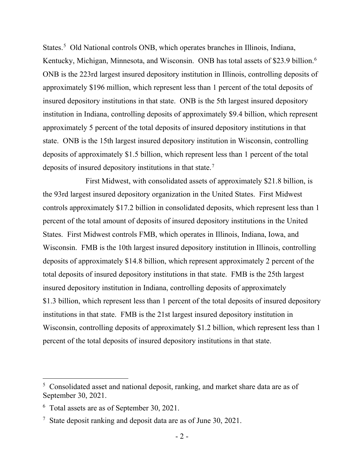States.<sup>[5](#page-1-0)</sup> Old National controls ONB, which operates branches in Illinois, Indiana, Kentucky, Michigan, Minnesota, and Wisconsin. ONB has total assets of \$23.9 billion.<sup>[6](#page-1-1)</sup> ONB is the 223rd largest insured depository institution in Illinois, controlling deposits of approximately \$196 million, which represent less than 1 percent of the total deposits of insured depository institutions in that state. ONB is the 5th largest insured depository institution in Indiana, controlling deposits of approximately \$9.4 billion, which represent approximately 5 percent of the total deposits of insured depository institutions in that state. ONB is the 15th largest insured depository institution in Wisconsin, controlling deposits of approximately \$1.5 billion, which represent less than 1 percent of the total deposits of insured depository institutions in that state.<sup>[7](#page-1-2)</sup>

First Midwest, with consolidated assets of approximately \$21.8 billion, is the 93rd largest insured depository organization in the United States. First Midwest controls approximately \$17.2 billion in consolidated deposits, which represent less than 1 percent of the total amount of deposits of insured depository institutions in the United States. First Midwest controls FMB, which operates in Illinois, Indiana, Iowa, and Wisconsin. FMB is the 10th largest insured depository institution in Illinois, controlling deposits of approximately \$14.8 billion, which represent approximately 2 percent of the total deposits of insured depository institutions in that state. FMB is the 25th largest insured depository institution in Indiana, controlling deposits of approximately \$1.3 billion, which represent less than 1 percent of the total deposits of insured depository institutions in that state. FMB is the 21st largest insured depository institution in Wisconsin, controlling deposits of approximately \$1.2 billion, which represent less than 1 percent of the total deposits of insured depository institutions in that state.

<span id="page-1-0"></span><sup>&</sup>lt;sup>5</sup> Consolidated asset and national deposit, ranking, and market share data are as of September 30, 2021.

<span id="page-1-1"></span><sup>&</sup>lt;sup>6</sup> Total assets are as of September 30, 2021.

<span id="page-1-2"></span><sup>&</sup>lt;sup>7</sup> State deposit ranking and deposit data are as of June 30, 2021.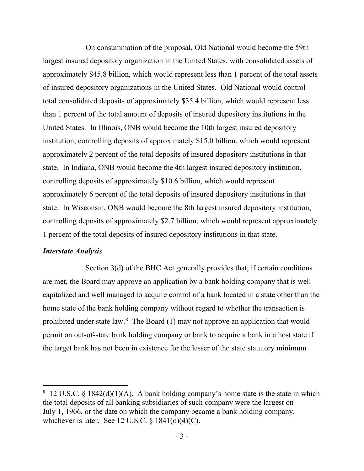On consummation of the proposal, Old National would become the 59th largest insured depository organization in the United States, with consolidated assets of approximately \$45.8 billion, which would represent less than 1 percent of the total assets of insured depository organizations in the United States. Old National would control total consolidated deposits of approximately \$35.4 billion, which would represent less than 1 percent of the total amount of deposits of insured depository institutions in the United States. In Illinois, ONB would become the 10th largest insured depository institution, controlling deposits of approximately \$15.0 billion, which would represent approximately 2 percent of the total deposits of insured depository institutions in that state. In Indiana, ONB would become the 4th largest insured depository institution, controlling deposits of approximately \$10.6 billion, which would represent approximately 6 percent of the total deposits of insured depository institutions in that state. In Wisconsin, ONB would become the 8th largest insured depository institution, controlling deposits of approximately \$2.7 billion, which would represent approximately 1 percent of the total deposits of insured depository institutions in that state.

#### *Interstate Analysis*

Section 3(d) of the BHC Act generally provides that, if certain conditions are met, the Board may approve an application by a bank holding company that is well capitalized and well managed to acquire control of a bank located in a state other than the home state of the bank holding company without regard to whether the transaction is prohibited under state law. $8$  The Board (1) may not approve an application that would permit an out-of-state bank holding company or bank to acquire a bank in a host state if the target bank has not been in existence for the lesser of the state statutory minimum

<span id="page-2-0"></span><sup>&</sup>lt;sup>8</sup> 12 U.S.C. § 1842(d)(1)(A). A bank holding company's home state is the state in which the total deposits of all banking subsidiaries of such company were the largest on July 1, 1966, or the date on which the company became a bank holding company, whichever is later. See 12 U.S.C.  $\S$  1841(o)(4)(C).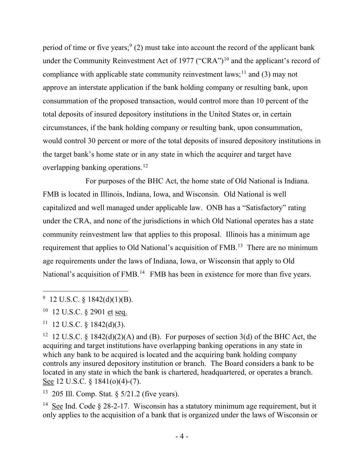period of time or five years;  $(2)$  must take into account the record of the applicant bank under the Community Reinvestment Act of 1977 ("CRA")<sup>[10](#page-3-1)</sup> and the applicant's record of compliance with applicable state community reinvestment laws;<sup>[11](#page-3-2)</sup> and (3) may not approve an interstate application if the bank holding company or resulting bank, upon consummation of the proposed transaction, would control more than 10 percent of the total deposits of insured depository institutions in the United States or, in certain circumstances, if the bank holding company or resulting bank, upon consummation, would control 30 percent or more of the total deposits of insured depository institutions in the target bank's home state or in any state in which the acquirer and target have overlapping banking operations.<sup>[12](#page-3-3)</sup>

For purposes of the BHC Act, the home state of Old National is Indiana. FMB is located in Illinois, Indiana, Iowa, and Wisconsin. Old National is well capitalized and well managed under applicable law. ONB has a "Satisfactory" rating under the CRA, and none of the jurisdictions in which Old National operates has a state community reinvestment law that applies to this proposal. Illinois has a minimum age requirement that applies to Old National's acquisition of FMB.<sup>13</sup> There are no minimum age requirements under the laws of Indiana, Iowa, or Wisconsin that apply to Old National's acquisition of FMB.<sup>[14](#page-3-5)</sup> FMB has been in existence for more than five years.

<span id="page-3-2"></span> $11$  12 U.S.C. § 1842(d)(3).

<span id="page-3-4"></span>13 205 Ill. Comp. Stat. § 5/21.2 (five years).

<span id="page-3-5"></span><sup>14</sup> See Ind. Code  $\S 28-2-17$ . Wisconsin has a statutory minimum age requirement, but it only applies to the acquisition of a bank that is organized under the laws of Wisconsin or

<span id="page-3-0"></span><sup>&</sup>lt;sup>9</sup> 12 U.S.C. § 1842(d)(1)(B).

<span id="page-3-1"></span><sup>10 12</sup> U.S.C. § 2901 et seq.

<span id="page-3-3"></span><sup>&</sup>lt;sup>12</sup> 12 U.S.C. § 1842(d)(2)(A) and (B). For purposes of section 3(d) of the BHC Act, the acquiring and target institutions have overlapping banking operations in any state in which any bank to be acquired is located and the acquiring bank holding company controls any insured depository institution or branch. The Board considers a bank to be located in any state in which the bank is chartered, headquartered, or operates a branch. See 12 U.S.C. § 1841(o)(4)-(7).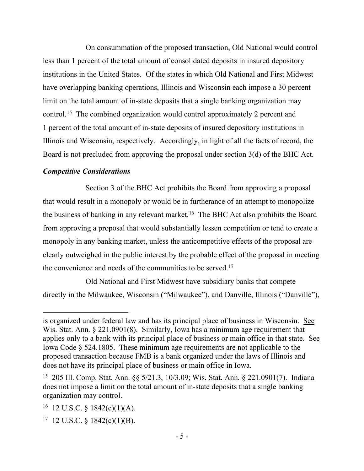On consummation of the proposed transaction, Old National would control less than 1 percent of the total amount of consolidated deposits in insured depository institutions in the United States. Of the states in which Old National and First Midwest have overlapping banking operations, Illinois and Wisconsin each impose a 30 percent limit on the total amount of in-state deposits that a single banking organization may control.[15](#page-4-0) The combined organization would control approximately 2 percent and 1 percent of the total amount of in-state deposits of insured depository institutions in Illinois and Wisconsin, respectively. Accordingly, in light of all the facts of record, the Board is not precluded from approving the proposal under section 3(d) of the BHC Act.

## *Competitive Considerations*

Section 3 of the BHC Act prohibits the Board from approving a proposal that would result in a monopoly or would be in furtherance of an attempt to monopolize the business of banking in any relevant market.<sup>16</sup> The BHC Act also prohibits the Board from approving a proposal that would substantially lessen competition or tend to create a monopoly in any banking market, unless the anticompetitive effects of the proposal are clearly outweighed in the public interest by the probable effect of the proposal in meeting the convenience and needs of the communities to be served.<sup>17</sup>

Old National and First Midwest have subsidiary banks that compete directly in the Milwaukee, Wisconsin ("Milwaukee"), and Danville, Illinois ("Danville"),

is organized under federal law and has its principal place of business in Wisconsin. See Wis. Stat. Ann. § 221.0901(8). Similarly, Iowa has a minimum age requirement that applies only to a bank with its principal place of business or main office in that state. See Iowa Code § 524.1805. These minimum age requirements are not applicable to the proposed transaction because FMB is a bank organized under the laws of Illinois and does not have its principal place of business or main office in Iowa.

<span id="page-4-0"></span><sup>15 205</sup> Ill. Comp. Stat. Ann. §§ 5/21.3, 10/3.09; Wis. Stat. Ann. § 221.0901(7). Indiana does not impose a limit on the total amount of in-state deposits that a single banking organization may control.

<span id="page-4-1"></span><sup>&</sup>lt;sup>16</sup> 12 U.S.C. § 1842(c)(1)(A).

<span id="page-4-2"></span> $17$  12 U.S.C. § 1842(c)(1)(B).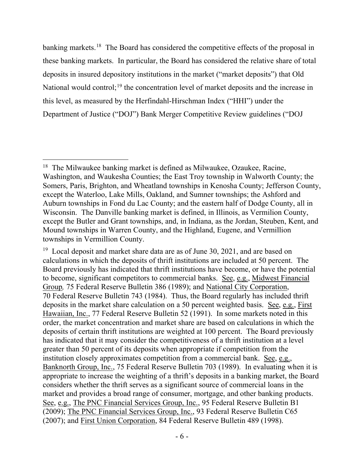banking markets.<sup>[18](#page-5-0)</sup> The Board has considered the competitive effects of the proposal in these banking markets. In particular, the Board has considered the relative share of total deposits in insured depository institutions in the market ("market deposits") that Old National would control;<sup>[19](#page-5-1)</sup> the concentration level of market deposits and the increase in this level, as measured by the Herfindahl-Hirschman Index ("HHI") under the Department of Justice ("DOJ") Bank Merger Competitive Review guidelines ("DOJ

<span id="page-5-0"></span><sup>&</sup>lt;sup>18</sup> The Milwaukee banking market is defined as Milwaukee, Ozaukee, Racine, Washington, and Waukesha Counties; the East Troy township in Walworth County; the Somers, Paris, Brighton, and Wheatland townships in Kenosha County; Jefferson County, except the Waterloo, Lake Mills, Oakland, and Sumner townships; the Ashford and Auburn townships in Fond du Lac County; and the eastern half of Dodge County, all in Wisconsin. The Danville banking market is defined, in Illinois, as Vermilion County, except the Butler and Grant townships, and, in Indiana, as the Jordan, Steuben, Kent, and Mound townships in Warren County, and the Highland, Eugene, and Vermillion townships in Vermillion County.

<span id="page-5-1"></span> $19$  Local deposit and market share data are as of June 30, 2021, and are based on calculations in which the deposits of thrift institutions are included at 50 percent. The Board previously has indicated that thrift institutions have become, or have the potential to become, significant competitors to commercial banks. See, e.g., Midwest Financial Group*,* 75 Federal Reserve Bulletin 386 (1989); and National City Corporation, 70 Federal Reserve Bulletin 743 (1984). Thus, the Board regularly has included thrift deposits in the market share calculation on a 50 percent weighted basis. See, e.g., First Hawaiian, Inc., 77 Federal Reserve Bulletin 52 (1991). In some markets noted in this order, the market concentration and market share are based on calculations in which the deposits of certain thrift institutions are weighted at 100 percent. The Board previously has indicated that it may consider the competitiveness of a thrift institution at a level greater than 50 percent of its deposits when appropriate if competition from the institution closely approximates competition from a commercial bank. See, e.g., Banknorth Group, Inc., 75 Federal Reserve Bulletin 703 (1989). In evaluating when it is appropriate to increase the weighting of a thrift's deposits in a banking market, the Board considers whether the thrift serves as a significant source of commercial loans in the market and provides a broad range of consumer, mortgage, and other banking products. See, e.g., The PNC Financial Services Group, Inc., 95 Federal Reserve Bulletin B1 (2009); The PNC Financial Services Group, Inc., 93 Federal Reserve Bulletin C65 (2007); and First Union Corporation, 84 Federal Reserve Bulletin 489 (1998).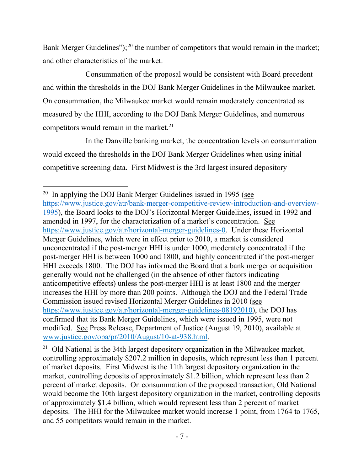Bank Merger Guidelines");<sup>[20](#page-6-0)</sup> the number of competitors that would remain in the market; and other characteristics of the market.

Consummation of the proposal would be consistent with Board precedent and within the thresholds in the DOJ Bank Merger Guidelines in the Milwaukee market. On consummation, the Milwaukee market would remain moderately concentrated as measured by the HHI, according to the DOJ Bank Merger Guidelines, and numerous competitors would remain in the market.<sup>21</sup>

In the Danville banking market, the concentration levels on consummation would exceed the thresholds in the DOJ Bank Merger Guidelines when using initial competitive screening data. First Midwest is the 3rd largest insured depository

<span id="page-6-0"></span> $20$  In applying the DOJ Bank Merger Guidelines issued in 1995 (see [https://www.justice.gov/atr/bank-merger-competitive-review-introduction-and-overview-](https://www.justice.gov/atr/bank-merger-competitive-review-introduction-and-overview-1995)[1995\)](https://www.justice.gov/atr/bank-merger-competitive-review-introduction-and-overview-1995), the Board looks to the DOJ's Horizontal Merger Guidelines, issued in 1992 and amended in 1997, for the characterization of a market's concentration. See [https://www.justice.gov/atr/horizontal-merger-guidelines-0.](https://www.justice.gov/atr/horizontal-merger-guidelines-0) Under these Horizontal Merger Guidelines, which were in effect prior to 2010, a market is considered unconcentrated if the post-merger HHI is under 1000, moderately concentrated if the post-merger HHI is between 1000 and 1800, and highly concentrated if the post-merger HHI exceeds 1800. The DOJ has informed the Board that a bank merger or acquisition generally would not be challenged (in the absence of other factors indicating anticompetitive effects) unless the post-merger HHI is at least 1800 and the merger increases the HHI by more than 200 points. Although the DOJ and the Federal Trade Commission issued revised Horizontal Merger Guidelines in 2010 (see [https://www.justice.gov/atr/horizontal-merger-guidelines-08192010\)](https://www.justice.gov/atr/horizontal-merger-guidelines-08192010), the DOJ has confirmed that its Bank Merger Guidelines, which were issued in 1995, were not modified. See Press Release, Department of Justice (August 19, 2010), available at [www.justice.gov/opa/pr/2010/August/10-at-938.html.](http://www.justice.gov/opa/pr/2010/August/10-at-938.html)

<span id="page-6-1"></span><sup>&</sup>lt;sup>21</sup> Old National is the 34th largest depository organization in the Milwaukee market, controlling approximately \$207.2 million in deposits, which represent less than 1 percent of market deposits. First Midwest is the 11th largest depository organization in the market, controlling deposits of approximately \$1.2 billion, which represent less than 2 percent of market deposits. On consummation of the proposed transaction, Old National would become the 10th largest depository organization in the market, controlling deposits of approximately \$1.4 billion, which would represent less than 2 percent of market deposits. The HHI for the Milwaukee market would increase 1 point, from 1764 to 1765, and 55 competitors would remain in the market.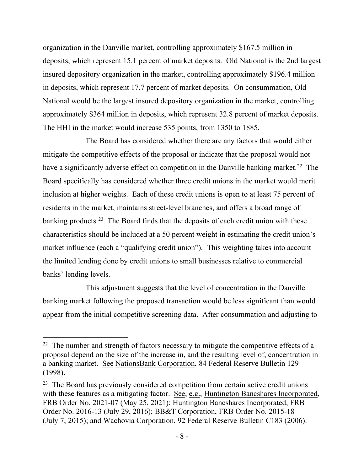organization in the Danville market, controlling approximately \$167.5 million in deposits, which represent 15.1 percent of market deposits. Old National is the 2nd largest insured depository organization in the market, controlling approximately \$196.4 million in deposits, which represent 17.7 percent of market deposits. On consummation, Old National would be the largest insured depository organization in the market, controlling approximately \$364 million in deposits, which represent 32.8 percent of market deposits. The HHI in the market would increase 535 points, from 1350 to 1885.

The Board has considered whether there are any factors that would either mitigate the competitive effects of the proposal or indicate that the proposal would not have a significantly adverse effect on competition in the Danville banking market.<sup>22</sup> The Board specifically has considered whether three credit unions in the market would merit inclusion at higher weights. Each of these credit unions is open to at least 75 percent of residents in the market, maintains street-level branches, and offers a broad range of banking products.<sup>[23](#page-7-1)</sup> The Board finds that the deposits of each credit union with these characteristics should be included at a 50 percent weight in estimating the credit union's market influence (each a "qualifying credit union"). This weighting takes into account the limited lending done by credit unions to small businesses relative to commercial banks' lending levels.

This adjustment suggests that the level of concentration in the Danville banking market following the proposed transaction would be less significant than would appear from the initial competitive screening data. After consummation and adjusting to

<span id="page-7-0"></span><sup>&</sup>lt;sup>22</sup> The number and strength of factors necessary to mitigate the competitive effects of a proposal depend on the size of the increase in, and the resulting level of, concentration in a banking market. See NationsBank Corporation, 84 Federal Reserve Bulletin 129 (1998).

<span id="page-7-1"></span> $23$  The Board has previously considered competition from certain active credit unions with these features as a mitigating factor. See, e.g., Huntington Bancshares Incorporated, FRB Order No. 2021-07 (May 25, 2021); Huntington Bancshares Incorporated, FRB Order No. 2016-13 (July 29, 2016); BB&T Corporation, FRB Order No. 2015-18 (July 7, 2015); and Wachovia Corporation, 92 Federal Reserve Bulletin C183 (2006).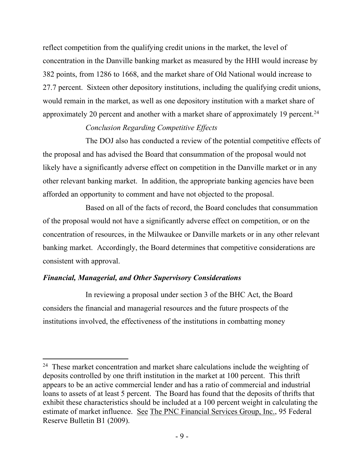reflect competition from the qualifying credit unions in the market, the level of concentration in the Danville banking market as measured by the HHI would increase by 382 points, from 1286 to 1668, and the market share of Old National would increase to 27.7 percent. Sixteen other depository institutions, including the qualifying credit unions, would remain in the market, as well as one depository institution with a market share of approximately 20 percent and another with a market share of approximately 19 percent.<sup>[24](#page-8-0)</sup>

# *Conclusion Regarding Competitive Effects*

The DOJ also has conducted a review of the potential competitive effects of the proposal and has advised the Board that consummation of the proposal would not likely have a significantly adverse effect on competition in the Danville market or in any other relevant banking market. In addition, the appropriate banking agencies have been afforded an opportunity to comment and have not objected to the proposal.

Based on all of the facts of record, the Board concludes that consummation of the proposal would not have a significantly adverse effect on competition, or on the concentration of resources, in the Milwaukee or Danville markets or in any other relevant banking market. Accordingly, the Board determines that competitive considerations are consistent with approval.

# *Financial, Managerial, and Other Supervisory Considerations*

In reviewing a proposal under section 3 of the BHC Act, the Board considers the financial and managerial resources and the future prospects of the institutions involved, the effectiveness of the institutions in combatting money

<span id="page-8-0"></span> $24$  These market concentration and market share calculations include the weighting of deposits controlled by one thrift institution in the market at 100 percent. This thrift appears to be an active commercial lender and has a ratio of commercial and industrial loans to assets of at least 5 percent. The Board has found that the deposits of thrifts that exhibit these characteristics should be included at a 100 percent weight in calculating the estimate of market influence. See The PNC Financial Services Group, Inc., 95 Federal Reserve Bulletin B1 (2009).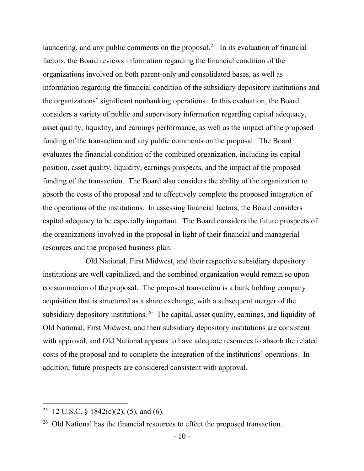laundering, and any public comments on the proposal.<sup>[25](#page-9-0)</sup> In its evaluation of financial factors, the Board reviews information regarding the financial condition of the organizations involved on both parent-only and consolidated bases, as well as information regarding the financial condition of the subsidiary depository institutions and the organizations' significant nonbanking operations. In this evaluation, the Board considers a variety of public and supervisory information regarding capital adequacy, asset quality, liquidity, and earnings performance, as well as the impact of the proposed funding of the transaction and any public comments on the proposal. The Board evaluates the financial condition of the combined organization, including its capital position, asset quality, liquidity, earnings prospects, and the impact of the proposed funding of the transaction. The Board also considers the ability of the organization to absorb the costs of the proposal and to effectively complete the proposed integration of the operations of the institutions. In assessing financial factors, the Board considers capital adequacy to be especially important. The Board considers the future prospects of the organizations involved in the proposal in light of their financial and managerial resources and the proposed business plan.

Old National, First Midwest, and their respective subsidiary depository institutions are well capitalized, and the combined organization would remain so upon consummation of the proposal. The proposed transaction is a bank holding company acquisition that is structured as a share exchange, with a subsequent merger of the subsidiary depository institutions.<sup>[26](#page-9-1)</sup> The capital, asset quality, earnings, and liquidity of Old National, First Midwest, and their subsidiary depository institutions are consistent with approval, and Old National appears to have adequate resources to absorb the related costs of the proposal and to complete the integration of the institutions' operations. In addition, future prospects are considered consistent with approval.

<span id="page-9-0"></span><sup>&</sup>lt;sup>25</sup> 12 U.S.C. § 1842(c)(2), (5), and (6).

<span id="page-9-1"></span><sup>&</sup>lt;sup>26</sup> Old National has the financial resources to effect the proposed transaction.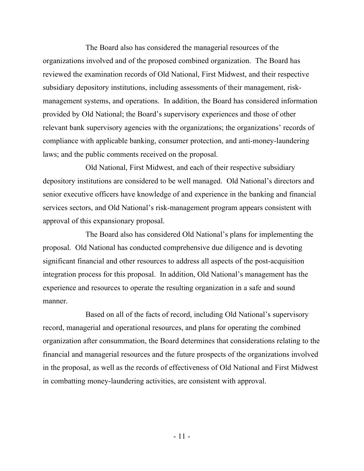The Board also has considered the managerial resources of the organizations involved and of the proposed combined organization. The Board has reviewed the examination records of Old National, First Midwest, and their respective subsidiary depository institutions, including assessments of their management, riskmanagement systems, and operations. In addition, the Board has considered information provided by Old National; the Board's supervisory experiences and those of other relevant bank supervisory agencies with the organizations; the organizations' records of compliance with applicable banking, consumer protection, and anti-money-laundering laws; and the public comments received on the proposal.

Old National, First Midwest, and each of their respective subsidiary depository institutions are considered to be well managed. Old National's directors and senior executive officers have knowledge of and experience in the banking and financial services sectors, and Old National's risk-management program appears consistent with approval of this expansionary proposal.

The Board also has considered Old National's plans for implementing the proposal. Old National has conducted comprehensive due diligence and is devoting significant financial and other resources to address all aspects of the post-acquisition integration process for this proposal. In addition, Old National's management has the experience and resources to operate the resulting organization in a safe and sound manner.

Based on all of the facts of record, including Old National's supervisory record, managerial and operational resources, and plans for operating the combined organization after consummation, the Board determines that considerations relating to the financial and managerial resources and the future prospects of the organizations involved in the proposal, as well as the records of effectiveness of Old National and First Midwest in combatting money-laundering activities, are consistent with approval.

- 11 -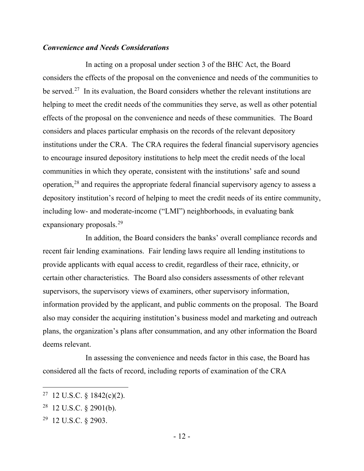### *Convenience and Needs Considerations*

In acting on a proposal under section 3 of the BHC Act, the Board considers the effects of the proposal on the convenience and needs of the communities to be served.<sup>27</sup> In its evaluation, the Board considers whether the relevant institutions are helping to meet the credit needs of the communities they serve, as well as other potential effects of the proposal on the convenience and needs of these communities. The Board considers and places particular emphasis on the records of the relevant depository institutions under the CRA. The CRA requires the federal financial supervisory agencies to encourage insured depository institutions to help meet the credit needs of the local communities in which they operate, consistent with the institutions' safe and sound operation,[28](#page-11-1) and requires the appropriate federal financial supervisory agency to assess a depository institution's record of helping to meet the credit needs of its entire community, including low- and moderate-income ("LMI") neighborhoods, in evaluating bank expansionary proposals.<sup>[29](#page-11-2)</sup>

In addition, the Board considers the banks' overall compliance records and recent fair lending examinations. Fair lending laws require all lending institutions to provide applicants with equal access to credit, regardless of their race, ethnicity, or certain other characteristics. The Board also considers assessments of other relevant supervisors, the supervisory views of examiners, other supervisory information, information provided by the applicant, and public comments on the proposal. The Board also may consider the acquiring institution's business model and marketing and outreach plans, the organization's plans after consummation, and any other information the Board deems relevant.

In assessing the convenience and needs factor in this case, the Board has considered all the facts of record, including reports of examination of the CRA

<span id="page-11-0"></span> $27$  12 U.S.C. § 1842(c)(2).

<span id="page-11-1"></span> $28$  12 U.S.C. § 2901(b).

<span id="page-11-2"></span><sup>29 12</sup> U.S.C. § 2903.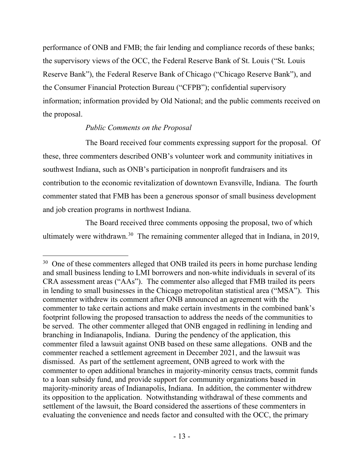performance of ONB and FMB; the fair lending and compliance records of these banks; the supervisory views of the OCC, the Federal Reserve Bank of St. Louis ("St. Louis Reserve Bank"), the Federal Reserve Bank of Chicago ("Chicago Reserve Bank"), and the Consumer Financial Protection Bureau ("CFPB"); confidential supervisory information; information provided by Old National; and the public comments received on the proposal.

## *Public Comments on the Proposal*

The Board received four comments expressing support for the proposal. Of these, three commenters described ONB's volunteer work and community initiatives in southwest Indiana, such as ONB's participation in nonprofit fundraisers and its contribution to the economic revitalization of downtown Evansville, Indiana. The fourth commenter stated that FMB has been a generous sponsor of small business development and job creation programs in northwest Indiana.

The Board received three comments opposing the proposal, two of which ultimately were withdrawn.<sup>[30](#page-12-0)</sup> The remaining commenter alleged that in Indiana, in 2019,

<span id="page-12-0"></span><sup>&</sup>lt;sup>30</sup> One of these commenters alleged that ONB trailed its peers in home purchase lending and small business lending to LMI borrowers and non-white individuals in several of its CRA assessment areas ("AAs"). The commenter also alleged that FMB trailed its peers in lending to small businesses in the Chicago metropolitan statistical area ("MSA"). This commenter withdrew its comment after ONB announced an agreement with the commenter to take certain actions and make certain investments in the combined bank's footprint following the proposed transaction to address the needs of the communities to be served. The other commenter alleged that ONB engaged in redlining in lending and branching in Indianapolis, Indiana. During the pendency of the application, this commenter filed a lawsuit against ONB based on these same allegations. ONB and the commenter reached a settlement agreement in December 2021, and the lawsuit was dismissed. As part of the settlement agreement, ONB agreed to work with the commenter to open additional branches in majority-minority census tracts, commit funds to a loan subsidy fund, and provide support for community organizations based in majority-minority areas of Indianapolis, Indiana. In addition, the commenter withdrew its opposition to the application. Notwithstanding withdrawal of these comments and settlement of the lawsuit, the Board considered the assertions of these commenters in evaluating the convenience and needs factor and consulted with the OCC, the primary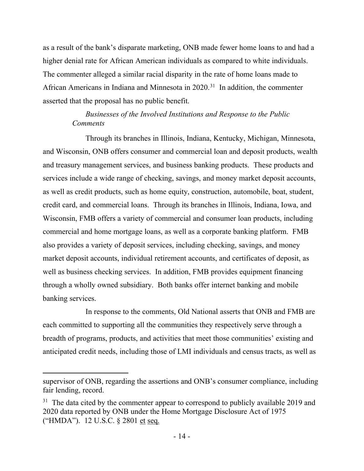as a result of the bank's disparate marketing, ONB made fewer home loans to and had a higher denial rate for African American individuals as compared to white individuals. The commenter alleged a similar racial disparity in the rate of home loans made to African Americans in Indiana and Minnesota in 2020. [31](#page-13-0) In addition, the commenter asserted that the proposal has no public benefit.

# *Businesses of the Involved Institutions and Response to the Public Comments*

Through its branches in Illinois, Indiana, Kentucky, Michigan, Minnesota, and Wisconsin, ONB offers consumer and commercial loan and deposit products, wealth and treasury management services, and business banking products. These products and services include a wide range of checking, savings, and money market deposit accounts, as well as credit products, such as home equity, construction, automobile, boat, student, credit card, and commercial loans. Through its branches in Illinois, Indiana, Iowa, and Wisconsin, FMB offers a variety of commercial and consumer loan products, including commercial and home mortgage loans, as well as a corporate banking platform. FMB also provides a variety of deposit services, including checking, savings, and money market deposit accounts, individual retirement accounts, and certificates of deposit, as well as business checking services. In addition, FMB provides equipment financing through a wholly owned subsidiary. Both banks offer internet banking and mobile banking services.

In response to the comments, Old National asserts that ONB and FMB are each committed to supporting all the communities they respectively serve through a breadth of programs, products, and activities that meet those communities' existing and anticipated credit needs, including those of LMI individuals and census tracts, as well as

supervisor of ONB, regarding the assertions and ONB's consumer compliance, including fair lending, record.

<span id="page-13-0"></span> $31$  The data cited by the commenter appear to correspond to publicly available 2019 and 2020 data reported by ONB under the Home Mortgage Disclosure Act of 1975 ("HMDA"). 12 U.S.C. § 2801 et seq.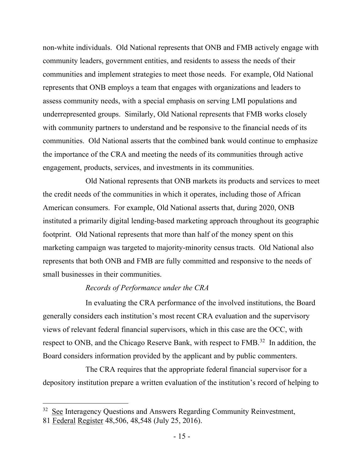non-white individuals. Old National represents that ONB and FMB actively engage with community leaders, government entities, and residents to assess the needs of their communities and implement strategies to meet those needs. For example, Old National represents that ONB employs a team that engages with organizations and leaders to assess community needs, with a special emphasis on serving LMI populations and underrepresented groups. Similarly, Old National represents that FMB works closely with community partners to understand and be responsive to the financial needs of its communities. Old National asserts that the combined bank would continue to emphasize the importance of the CRA and meeting the needs of its communities through active engagement, products, services, and investments in its communities.

Old National represents that ONB markets its products and services to meet the credit needs of the communities in which it operates, including those of African American consumers. For example, Old National asserts that, during 2020, ONB instituted a primarily digital lending-based marketing approach throughout its geographic footprint. Old National represents that more than half of the money spent on this marketing campaign was targeted to majority-minority census tracts. Old National also represents that both ONB and FMB are fully committed and responsive to the needs of small businesses in their communities.

### *Records of Performance under the CRA*

In evaluating the CRA performance of the involved institutions, the Board generally considers each institution's most recent CRA evaluation and the supervisory views of relevant federal financial supervisors, which in this case are the OCC, with respect to ONB, and the Chicago Reserve Bank, with respect to FMB.<sup>32</sup> In addition, the Board considers information provided by the applicant and by public commenters.

The CRA requires that the appropriate federal financial supervisor for a depository institution prepare a written evaluation of the institution's record of helping to

<span id="page-14-0"></span><sup>&</sup>lt;sup>32</sup> See Interagency Questions and Answers Regarding Community Reinvestment,

<sup>81</sup> Federal Register 48,506, 48,548 (July 25, 2016).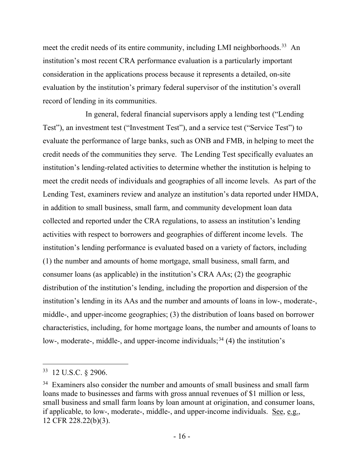meet the credit needs of its entire community, including LMI neighborhoods.<sup>[33](#page-15-0)</sup> An institution's most recent CRA performance evaluation is a particularly important consideration in the applications process because it represents a detailed, on-site evaluation by the institution's primary federal supervisor of the institution's overall record of lending in its communities.

In general, federal financial supervisors apply a lending test ("Lending Test"), an investment test ("Investment Test"), and a service test ("Service Test") to evaluate the performance of large banks, such as ONB and FMB, in helping to meet the credit needs of the communities they serve. The Lending Test specifically evaluates an institution's lending-related activities to determine whether the institution is helping to meet the credit needs of individuals and geographies of all income levels. As part of the Lending Test, examiners review and analyze an institution's data reported under HMDA, in addition to small business, small farm, and community development loan data collected and reported under the CRA regulations, to assess an institution's lending activities with respect to borrowers and geographies of different income levels. The institution's lending performance is evaluated based on a variety of factors, including (1) the number and amounts of home mortgage, small business, small farm, and consumer loans (as applicable) in the institution's CRA AAs; (2) the geographic distribution of the institution's lending, including the proportion and dispersion of the institution's lending in its AAs and the number and amounts of loans in low-, moderate-, middle-, and upper-income geographies; (3) the distribution of loans based on borrower characteristics, including, for home mortgage loans, the number and amounts of loans to low-, moderate-, middle-, and upper-income individuals;  $34(4)$  $34(4)$  the institution's

<span id="page-15-0"></span> $33$  12 U.S.C. § 2906.

<span id="page-15-1"></span><sup>&</sup>lt;sup>34</sup> Examiners also consider the number and amounts of small business and small farm loans made to businesses and farms with gross annual revenues of \$1 million or less, small business and small farm loans by loan amount at origination, and consumer loans, if applicable, to low-, moderate-, middle-, and upper-income individuals. See, e.g., 12 CFR 228.22(b)(3).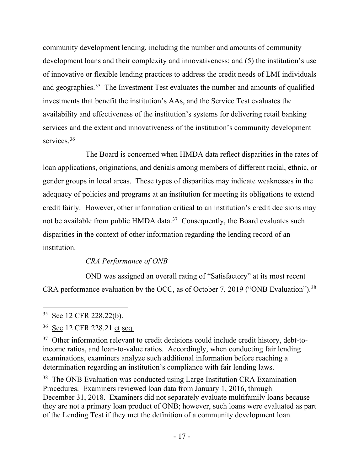community development lending, including the number and amounts of community development loans and their complexity and innovativeness; and (5) the institution's use of innovative or flexible lending practices to address the credit needs of LMI individuals and geographies.<sup>[35](#page-16-0)</sup> The Investment Test evaluates the number and amounts of qualified investments that benefit the institution's AAs, and the Service Test evaluates the availability and effectiveness of the institution's systems for delivering retail banking services and the extent and innovativeness of the institution's community development services.<sup>[36](#page-16-1)</sup>

The Board is concerned when HMDA data reflect disparities in the rates of loan applications, originations, and denials among members of different racial, ethnic, or gender groups in local areas. These types of disparities may indicate weaknesses in the adequacy of policies and programs at an institution for meeting its obligations to extend credit fairly. However, other information critical to an institution's credit decisions may not be available from public HMDA data.<sup>37</sup> Consequently, the Board evaluates such disparities in the context of other information regarding the lending record of an institution.

# *CRA Performance of ONB*

ONB was assigned an overall rating of "Satisfactory" at its most recent CRA performance evaluation by the OCC, as of October 7, 2019 ("ONB Evaluation").<sup>38</sup>

<span id="page-16-3"></span><sup>38</sup> The ONB Evaluation was conducted using Large Institution CRA Examination Procedures. Examiners reviewed loan data from January 1, 2016, through December 31, 2018. Examiners did not separately evaluate multifamily loans because they are not a primary loan product of ONB; however, such loans were evaluated as part of the Lending Test if they met the definition of a community development loan.

<span id="page-16-0"></span><sup>&</sup>lt;sup>35</sup> See 12 CFR 228.22(b).

<span id="page-16-1"></span><sup>36</sup> See 12 CFR 228.21 et seq.

<span id="page-16-2"></span><sup>&</sup>lt;sup>37</sup> Other information relevant to credit decisions could include credit history, debt-toincome ratios, and loan-to-value ratios. Accordingly, when conducting fair lending examinations, examiners analyze such additional information before reaching a determination regarding an institution's compliance with fair lending laws.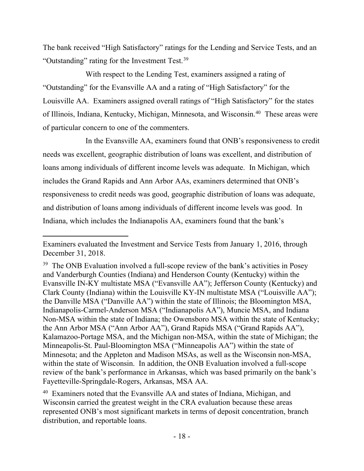The bank received "High Satisfactory" ratings for the Lending and Service Tests, and an "Outstanding" rating for the Investment Test.<sup>[39](#page-17-0)</sup>

With respect to the Lending Test, examiners assigned a rating of "Outstanding" for the Evansville AA and a rating of "High Satisfactory" for the Louisville AA. Examiners assigned overall ratings of "High Satisfactory" for the states of Illinois, Indiana, Kentucky, Michigan, Minnesota, and Wisconsin.[40](#page-17-1) These areas were of particular concern to one of the commenters.

In the Evansville AA, examiners found that ONB's responsiveness to credit needs was excellent, geographic distribution of loans was excellent, and distribution of loans among individuals of different income levels was adequate. In Michigan, which includes the Grand Rapids and Ann Arbor AAs, examiners determined that ONB's responsiveness to credit needs was good, geographic distribution of loans was adequate, and distribution of loans among individuals of different income levels was good. In Indiana, which includes the Indianapolis AA, examiners found that the bank's

Examiners evaluated the Investment and Service Tests from January 1, 2016, through December 31, 2018.

<span id="page-17-0"></span> $39$  The ONB Evaluation involved a full-scope review of the bank's activities in Posey and Vanderburgh Counties (Indiana) and Henderson County (Kentucky) within the Evansville IN-KY multistate MSA ("Evansville AA"); Jefferson County (Kentucky) and Clark County (Indiana) within the Louisville KY-IN multistate MSA ("Louisville AA"); the Danville MSA ("Danville AA") within the state of Illinois; the Bloomington MSA, Indianapolis-Carmel-Anderson MSA ("Indianapolis AA"), Muncie MSA, and Indiana Non-MSA within the state of Indiana; the Owensboro MSA within the state of Kentucky; the Ann Arbor MSA ("Ann Arbor AA"), Grand Rapids MSA ("Grand Rapids AA"), Kalamazoo-Portage MSA, and the Michigan non-MSA, within the state of Michigan; the Minneapolis-St. Paul-Bloomington MSA ("Minneapolis AA") within the state of Minnesota; and the Appleton and Madison MSAs, as well as the Wisconsin non-MSA, within the state of Wisconsin. In addition, the ONB Evaluation involved a full-scope review of the bank's performance in Arkansas, which was based primarily on the bank's Fayetteville-Springdale-Rogers, Arkansas, MSA AA.

<span id="page-17-1"></span><sup>&</sup>lt;sup>40</sup> Examiners noted that the Evansville AA and states of Indiana, Michigan, and Wisconsin carried the greatest weight in the CRA evaluation because these areas represented ONB's most significant markets in terms of deposit concentration, branch distribution, and reportable loans.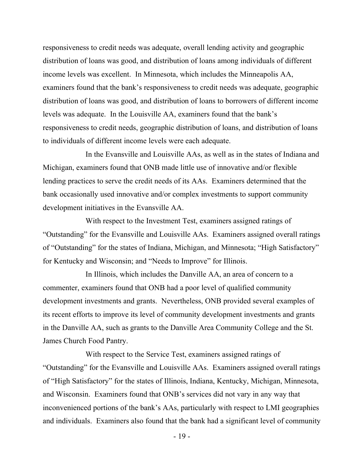responsiveness to credit needs was adequate, overall lending activity and geographic distribution of loans was good, and distribution of loans among individuals of different income levels was excellent. In Minnesota, which includes the Minneapolis AA, examiners found that the bank's responsiveness to credit needs was adequate, geographic distribution of loans was good, and distribution of loans to borrowers of different income levels was adequate. In the Louisville AA, examiners found that the bank's responsiveness to credit needs, geographic distribution of loans, and distribution of loans to individuals of different income levels were each adequate.

In the Evansville and Louisville AAs, as well as in the states of Indiana and Michigan, examiners found that ONB made little use of innovative and/or flexible lending practices to serve the credit needs of its AAs. Examiners determined that the bank occasionally used innovative and/or complex investments to support community development initiatives in the Evansville AA.

With respect to the Investment Test, examiners assigned ratings of "Outstanding" for the Evansville and Louisville AAs. Examiners assigned overall ratings of "Outstanding" for the states of Indiana, Michigan, and Minnesota; "High Satisfactory" for Kentucky and Wisconsin; and "Needs to Improve" for Illinois.

In Illinois, which includes the Danville AA, an area of concern to a commenter, examiners found that ONB had a poor level of qualified community development investments and grants. Nevertheless, ONB provided several examples of its recent efforts to improve its level of community development investments and grants in the Danville AA, such as grants to the Danville Area Community College and the St. James Church Food Pantry.

With respect to the Service Test, examiners assigned ratings of "Outstanding" for the Evansville and Louisville AAs. Examiners assigned overall ratings of "High Satisfactory" for the states of Illinois, Indiana, Kentucky, Michigan, Minnesota, and Wisconsin. Examiners found that ONB's services did not vary in any way that inconvenienced portions of the bank's AAs, particularly with respect to LMI geographies and individuals. Examiners also found that the bank had a significant level of community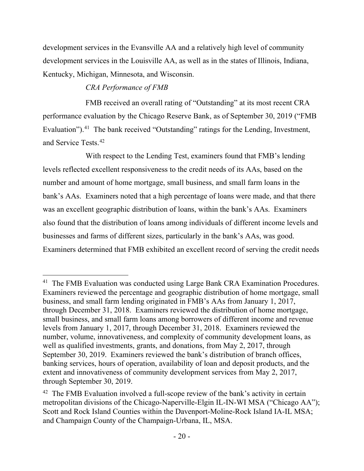development services in the Evansville AA and a relatively high level of community development services in the Louisville AA, as well as in the states of Illinois, Indiana, Kentucky, Michigan, Minnesota, and Wisconsin.

# *CRA Performance of FMB*

FMB received an overall rating of "Outstanding" at its most recent CRA performance evaluation by the Chicago Reserve Bank, as of September 30, 2019 ("FMB Evaluation").<sup>41</sup> The bank received "Outstanding" ratings for the Lending, Investment, and Service Tests. [42](#page-19-1)

With respect to the Lending Test, examiners found that FMB's lending levels reflected excellent responsiveness to the credit needs of its AAs, based on the number and amount of home mortgage, small business, and small farm loans in the bank's AAs. Examiners noted that a high percentage of loans were made, and that there was an excellent geographic distribution of loans, within the bank's AAs. Examiners also found that the distribution of loans among individuals of different income levels and businesses and farms of different sizes, particularly in the bank's AAs, was good. Examiners determined that FMB exhibited an excellent record of serving the credit needs

<span id="page-19-0"></span><sup>&</sup>lt;sup>41</sup> The FMB Evaluation was conducted using Large Bank CRA Examination Procedures. Examiners reviewed the percentage and geographic distribution of home mortgage, small business, and small farm lending originated in FMB's AAs from January 1, 2017, through December 31, 2018. Examiners reviewed the distribution of home mortgage, small business, and small farm loans among borrowers of different income and revenue levels from January 1, 2017, through December 31, 2018. Examiners reviewed the number, volume, innovativeness, and complexity of community development loans, as well as qualified investments, grants, and donations, from May 2, 2017, through September 30, 2019. Examiners reviewed the bank's distribution of branch offices, banking services, hours of operation, availability of loan and deposit products, and the extent and innovativeness of community development services from May 2, 2017, through September 30, 2019.

<span id="page-19-1"></span> $42$  The FMB Evaluation involved a full-scope review of the bank's activity in certain metropolitan divisions of the Chicago-Naperville-Elgin IL-IN-WI MSA ("Chicago AA"); Scott and Rock Island Counties within the Davenport-Moline-Rock Island IA-IL MSA; and Champaign County of the Champaign-Urbana, IL, MSA.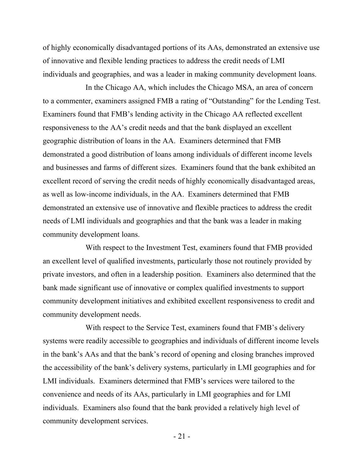of highly economically disadvantaged portions of its AAs, demonstrated an extensive use of innovative and flexible lending practices to address the credit needs of LMI individuals and geographies, and was a leader in making community development loans.

In the Chicago AA, which includes the Chicago MSA, an area of concern to a commenter, examiners assigned FMB a rating of "Outstanding" for the Lending Test. Examiners found that FMB's lending activity in the Chicago AA reflected excellent responsiveness to the AA's credit needs and that the bank displayed an excellent geographic distribution of loans in the AA. Examiners determined that FMB demonstrated a good distribution of loans among individuals of different income levels and businesses and farms of different sizes. Examiners found that the bank exhibited an excellent record of serving the credit needs of highly economically disadvantaged areas, as well as low-income individuals, in the AA. Examiners determined that FMB demonstrated an extensive use of innovative and flexible practices to address the credit needs of LMI individuals and geographies and that the bank was a leader in making community development loans.

With respect to the Investment Test, examiners found that FMB provided an excellent level of qualified investments, particularly those not routinely provided by private investors, and often in a leadership position. Examiners also determined that the bank made significant use of innovative or complex qualified investments to support community development initiatives and exhibited excellent responsiveness to credit and community development needs.

With respect to the Service Test, examiners found that FMB's delivery systems were readily accessible to geographies and individuals of different income levels in the bank's AAs and that the bank's record of opening and closing branches improved the accessibility of the bank's delivery systems, particularly in LMI geographies and for LMI individuals. Examiners determined that FMB's services were tailored to the convenience and needs of its AAs, particularly in LMI geographies and for LMI individuals. Examiners also found that the bank provided a relatively high level of community development services.

 $-21 -$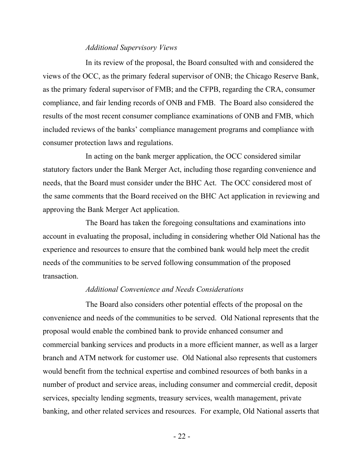#### *Additional Supervisory Views*

In its review of the proposal, the Board consulted with and considered the views of the OCC, as the primary federal supervisor of ONB; the Chicago Reserve Bank, as the primary federal supervisor of FMB; and the CFPB, regarding the CRA, consumer compliance, and fair lending records of ONB and FMB. The Board also considered the results of the most recent consumer compliance examinations of ONB and FMB, which included reviews of the banks' compliance management programs and compliance with consumer protection laws and regulations.

In acting on the bank merger application, the OCC considered similar statutory factors under the Bank Merger Act, including those regarding convenience and needs, that the Board must consider under the BHC Act. The OCC considered most of the same comments that the Board received on the BHC Act application in reviewing and approving the Bank Merger Act application.

The Board has taken the foregoing consultations and examinations into account in evaluating the proposal, including in considering whether Old National has the experience and resources to ensure that the combined bank would help meet the credit needs of the communities to be served following consummation of the proposed transaction.

#### *Additional Convenience and Needs Considerations*

The Board also considers other potential effects of the proposal on the convenience and needs of the communities to be served. Old National represents that the proposal would enable the combined bank to provide enhanced consumer and commercial banking services and products in a more efficient manner, as well as a larger branch and ATM network for customer use. Old National also represents that customers would benefit from the technical expertise and combined resources of both banks in a number of product and service areas, including consumer and commercial credit, deposit services, specialty lending segments, treasury services, wealth management, private banking, and other related services and resources. For example, Old National asserts that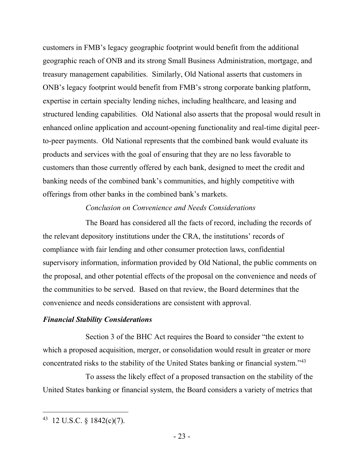customers in FMB's legacy geographic footprint would benefit from the additional geographic reach of ONB and its strong Small Business Administration, mortgage, and treasury management capabilities. Similarly, Old National asserts that customers in ONB's legacy footprint would benefit from FMB's strong corporate banking platform, expertise in certain specialty lending niches, including healthcare, and leasing and structured lending capabilities. Old National also asserts that the proposal would result in enhanced online application and account-opening functionality and real-time digital peerto-peer payments. Old National represents that the combined bank would evaluate its products and services with the goal of ensuring that they are no less favorable to customers than those currently offered by each bank, designed to meet the credit and banking needs of the combined bank's communities, and highly competitive with offerings from other banks in the combined bank's markets.

### *Conclusion on Convenience and Needs Considerations*

The Board has considered all the facts of record, including the records of the relevant depository institutions under the CRA, the institutions' records of compliance with fair lending and other consumer protection laws, confidential supervisory information, information provided by Old National, the public comments on the proposal, and other potential effects of the proposal on the convenience and needs of the communities to be served. Based on that review, the Board determines that the convenience and needs considerations are consistent with approval.

### *Financial Stability Considerations*

Section 3 of the BHC Act requires the Board to consider "the extent to which a proposed acquisition, merger, or consolidation would result in greater or more concentrated risks to the stability of the United States banking or financial system."[43](#page-22-0)

To assess the likely effect of a proposed transaction on the stability of the United States banking or financial system, the Board considers a variety of metrics that

<span id="page-22-0"></span><sup>43 12</sup> U.S.C. § 1842(c)(7).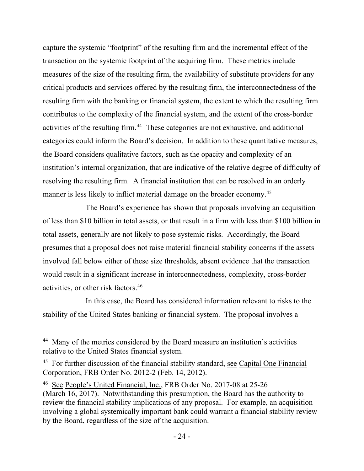capture the systemic "footprint" of the resulting firm and the incremental effect of the transaction on the systemic footprint of the acquiring firm. These metrics include measures of the size of the resulting firm, the availability of substitute providers for any critical products and services offered by the resulting firm, the interconnectedness of the resulting firm with the banking or financial system, the extent to which the resulting firm contributes to the complexity of the financial system, and the extent of the cross-border activities of the resulting firm.<sup>44</sup> These categories are not exhaustive, and additional categories could inform the Board's decision. In addition to these quantitative measures, the Board considers qualitative factors, such as the opacity and complexity of an institution's internal organization, that are indicative of the relative degree of difficulty of resolving the resulting firm. A financial institution that can be resolved in an orderly manner is less likely to inflict material damage on the broader economy.<sup>[45](#page-23-1)</sup>

The Board's experience has shown that proposals involving an acquisition of less than \$10 billion in total assets, or that result in a firm with less than \$100 billion in total assets, generally are not likely to pose systemic risks. Accordingly, the Board presumes that a proposal does not raise material financial stability concerns if the assets involved fall below either of these size thresholds, absent evidence that the transaction would result in a significant increase in interconnectedness, complexity, cross-border activities, or other risk factors.[46](#page-23-2)

In this case, the Board has considered information relevant to risks to the stability of the United States banking or financial system. The proposal involves a

<span id="page-23-0"></span><sup>&</sup>lt;sup>44</sup> Many of the metrics considered by the Board measure an institution's activities relative to the United States financial system.

<span id="page-23-1"></span><sup>&</sup>lt;sup>45</sup> For further discussion of the financial stability standard, see Capital One Financial Corporation, FRB Order No. 2012-2 (Feb. 14, 2012).

<span id="page-23-2"></span><sup>46</sup> See People's United Financial, Inc., FRB Order No. 2017-08 at 25-26 (March 16, 2017). Notwithstanding this presumption, the Board has the authority to review the financial stability implications of any proposal. For example, an acquisition involving a global systemically important bank could warrant a financial stability review by the Board, regardless of the size of the acquisition.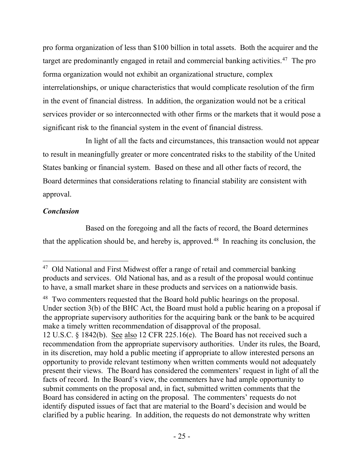pro forma organization of less than \$100 billion in total assets. Both the acquirer and the target are predominantly engaged in retail and commercial banking activities. [47](#page-24-0) The pro forma organization would not exhibit an organizational structure, complex interrelationships, or unique characteristics that would complicate resolution of the firm in the event of financial distress. In addition, the organization would not be a critical services provider or so interconnected with other firms or the markets that it would pose a significant risk to the financial system in the event of financial distress.

In light of all the facts and circumstances, this transaction would not appear to result in meaningfully greater or more concentrated risks to the stability of the United States banking or financial system. Based on these and all other facts of record, the Board determines that considerations relating to financial stability are consistent with approval.

# *Conclusion*

Based on the foregoing and all the facts of record, the Board determines that the application should be, and hereby is, approved.<sup>[48](#page-24-1)</sup> In reaching its conclusion, the

<span id="page-24-0"></span> $47$  Old National and First Midwest offer a range of retail and commercial banking products and services. Old National has, and as a result of the proposal would continue to have, a small market share in these products and services on a nationwide basis.

<span id="page-24-1"></span><sup>&</sup>lt;sup>48</sup> Two commenters requested that the Board hold public hearings on the proposal. Under section 3(b) of the BHC Act, the Board must hold a public hearing on a proposal if the appropriate supervisory authorities for the acquiring bank or the bank to be acquired make a timely written recommendation of disapproval of the proposal. 12 U.S.C. § 1842(b). See also 12 CFR 225.16(e). The Board has not received such a recommendation from the appropriate supervisory authorities. Under its rules, the Board, in its discretion, may hold a public meeting if appropriate to allow interested persons an opportunity to provide relevant testimony when written comments would not adequately present their views. The Board has considered the commenters' request in light of all the facts of record. In the Board's view, the commenters have had ample opportunity to submit comments on the proposal and, in fact, submitted written comments that the Board has considered in acting on the proposal. The commenters' requests do not identify disputed issues of fact that are material to the Board's decision and would be clarified by a public hearing. In addition, the requests do not demonstrate why written